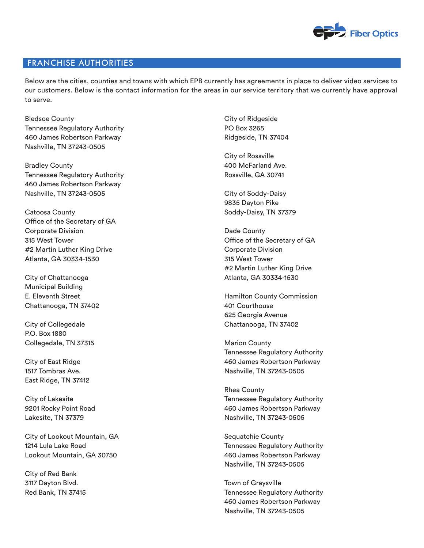

## FRANCHISE AUTHORITIES

Below are the cities, counties and towns with which EPB currently has agreements in place to deliver video services to our customers. Below is the contact information for the areas in our service territory that we currently have approval to serve.

Bledsoe County Tennessee Regulatory Authority 460 James Robertson Parkway Nashville, TN 37243-0505

Bradley County Tennessee Regulatory Authority 460 James Robertson Parkway Nashville, TN 37243-0505

Catoosa County Office of the Secretary of GA Corporate Division 315 West Tower #2 Martin Luther King Drive Atlanta, GA 30334-1530

City of Chattanooga Municipal Building E. Eleventh Street Chattanooga, TN 37402

City of Collegedale P.O. Box 1880 Collegedale, TN 37315

City of East Ridge 1517 Tombras Ave. East Ridge, TN 37412

City of Lakesite 9201 Rocky Point Road Lakesite, TN 37379

City of Lookout Mountain, GA 1214 Lula Lake Road Lookout Mountain, GA 30750

City of Red Bank 3117 Dayton Blvd. Red Bank, TN 37415 City of Ridgeside PO Box 3265 Ridgeside, TN 37404

City of Rossville 400 McFarland Ave. Rossville, GA 30741

City of Soddy-Daisy 9835 Dayton Pike Soddy-Daisy, TN 37379

Dade County Office of the Secretary of GA Corporate Division 315 West Tower #2 Martin Luther King Drive Atlanta, GA 30334-1530

Hamilton County Commission 401 Courthouse 625 Georgia Avenue Chattanooga, TN 37402

Marion County Tennessee Regulatory Authority 460 James Robertson Parkway Nashville, TN 37243-0505

Rhea County Tennessee Regulatory Authority 460 James Robertson Parkway Nashville, TN 37243-0505

Sequatchie County Tennessee Regulatory Authority 460 James Robertson Parkway Nashville, TN 37243-0505

Town of Graysville Tennessee Regulatory Authority 460 James Robertson Parkway Nashville, TN 37243-0505